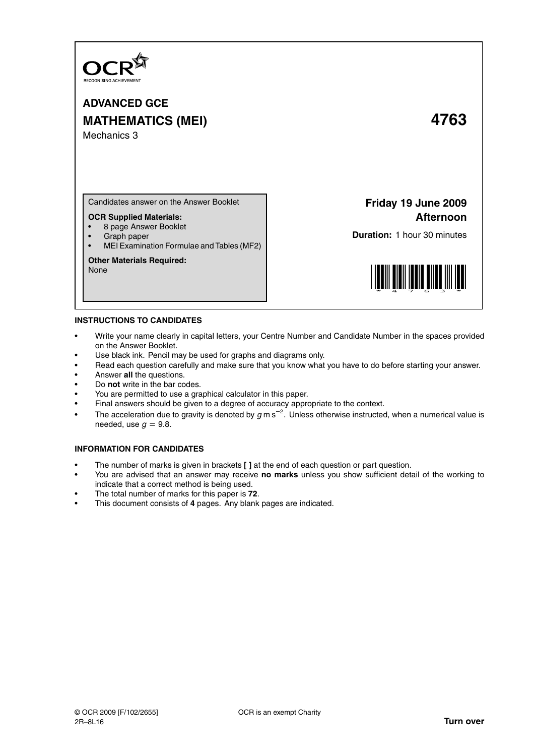

**ADVANCED GCE MATHEMATICS (MEI) 4763** Mechanics 3

Candidates answer on the Answer Booklet

# **OCR Supplied Materials:**

- 8 page Answer Booklet
- Graph paper
- MEI Examination Formulae and Tables (MF2)

#### **Other Materials Required:**

None

# **Friday 19 June 2009 Afternoon**

**Duration:** 1 hour 30 minutes



### **INSTRUCTIONS TO CANDIDATES**

- Write your name clearly in capital letters, your Centre Number and Candidate Number in the spaces provided on the Answer Booklet.
- Use black ink. Pencil may be used for graphs and diagrams only.
- Read each question carefully and make sure that you know what you have to do before starting your answer.
- Answer **all** the questions.
- Do **not** write in the bar codes.
- You are permitted to use a graphical calculator in this paper.
- Final answers should be given to a degree of accuracy appropriate to the context.
- The acceleration due to gravity is denoted by  $g$  m s<sup>-2</sup>. Unless otherwise instructed, when a numerical value is needed, use  $q = 9.8$ .

# **INFORMATION FOR CANDIDATES**

- The number of marks is given in brackets **[ ]** at the end of each question or part question.
- You are advised that an answer may receive **no marks** unless you show sufficient detail of the working to indicate that a correct method is being used.
- The total number of marks for this paper is **72**.
- This document consists of **4** pages. Any blank pages are indicated.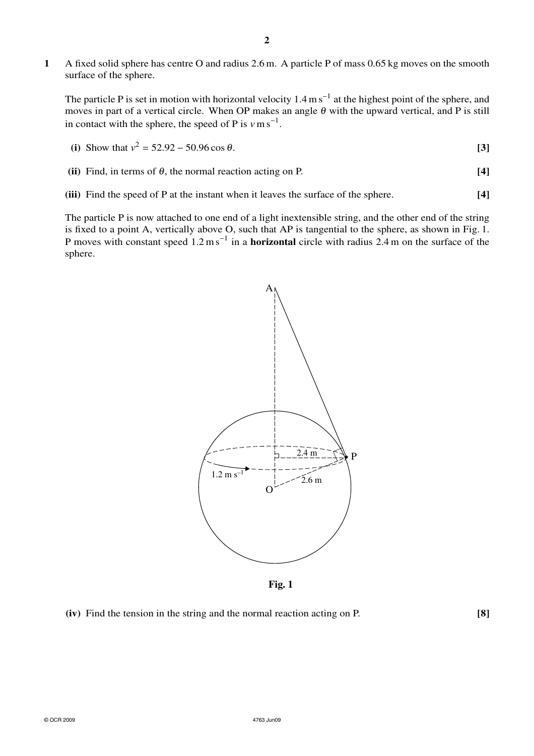**1** A fixed solid sphere has centre O and radius 2.6 m. A particle P of mass 0.65 kg moves on the smooth surface of the sphere.

The particle P is set in motion with horizontal velocity  $1.4 \text{ m s}^{-1}$  at the highest point of the sphere, and moves in part of a vertical circle. When OP makes an angle  $\theta$  with the upward vertical, and P is still in contact with the sphere, the speed of P is  $v \text{ m s}^{-1}$ .

(i) Show that 
$$
v^2 = 52.92 - 50.96 \cos \theta
$$
. [3]

- **(ii)** Find, in terms of  $\theta$ , the normal reaction acting on P. **[4]**
- **(iii)** Find the speed of P at the instant when it leaves the surface of the sphere. **[4]**

The particle P is now attached to one end of a light inextensible string, and the other end of the string is fixed to a point A, vertically above O, such that AP is tangential to the sphere, as shown in Fig. 1. P moves with constant speed 1.2 m s<sup>-1</sup> in a **horizontal** circle with radius 2.4 m on the surface of the sphere.



**Fig. 1**

**(iv)** Find the tension in the string and the normal reaction acting on P. **[8]**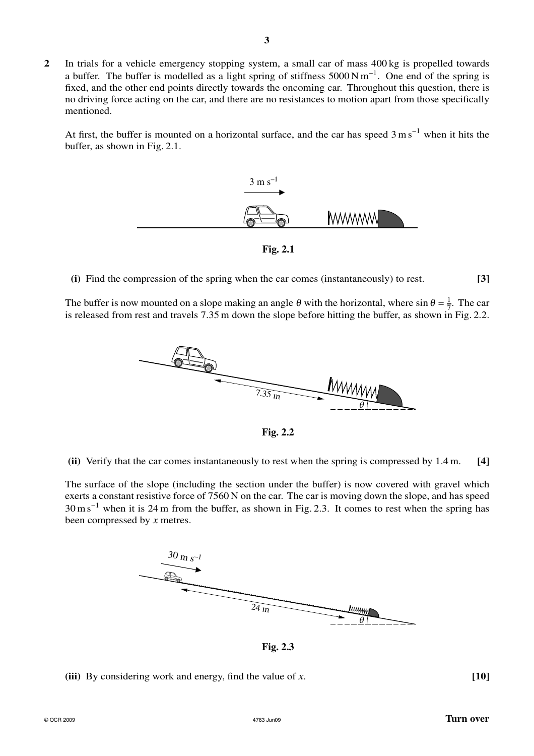**2** In trials for a vehicle emergency stopping system, a small car of mass 400 kg is propelled towards a buffer. The buffer is modelled as a light spring of stiffness  $5000 \text{ N m}^{-1}$ . One end of the spring is fixed, and the other end points directly towards the oncoming car. Throughout this question, there is no driving force acting on the car, and there are no resistances to motion apart from those specifically mentioned.

At first, the buffer is mounted on a horizontal surface, and the car has speed  $3 \text{ m s}^{-1}$  when it hits the buffer, as shown in Fig. 2.1.



**Fig. 2.1**

**(i)** Find the compression of the spring when the car comes (instantaneously) to rest. **[3]**

The buffer is now mounted on a slope making an angle  $\theta$  with the horizontal, where sin  $\theta = \frac{1}{7}$  $rac{1}{7}$ . The car is released from rest and travels 7.35 m down the slope before hitting the buffer, as shown in Fig. 2.2.



**Fig. 2.2**

**(ii)** Verify that the car comes instantaneously to rest when the spring is compressed by 1.4 m. **[4]**

The surface of the slope (including the section under the buffer) is now covered with gravel which exerts a constant resistive force of 7560 N on the car. The car is moving down the slope, and has speed 30 m s<sup>−</sup><sup>1</sup> when it is 24 m from the buffer, as shown in Fig. 2.3. It comes to rest when the spring has been compressed by *x* metres.



**Fig. 2.3**

**(iii)** By considering work and energy, find the value of *x*. **[10]**